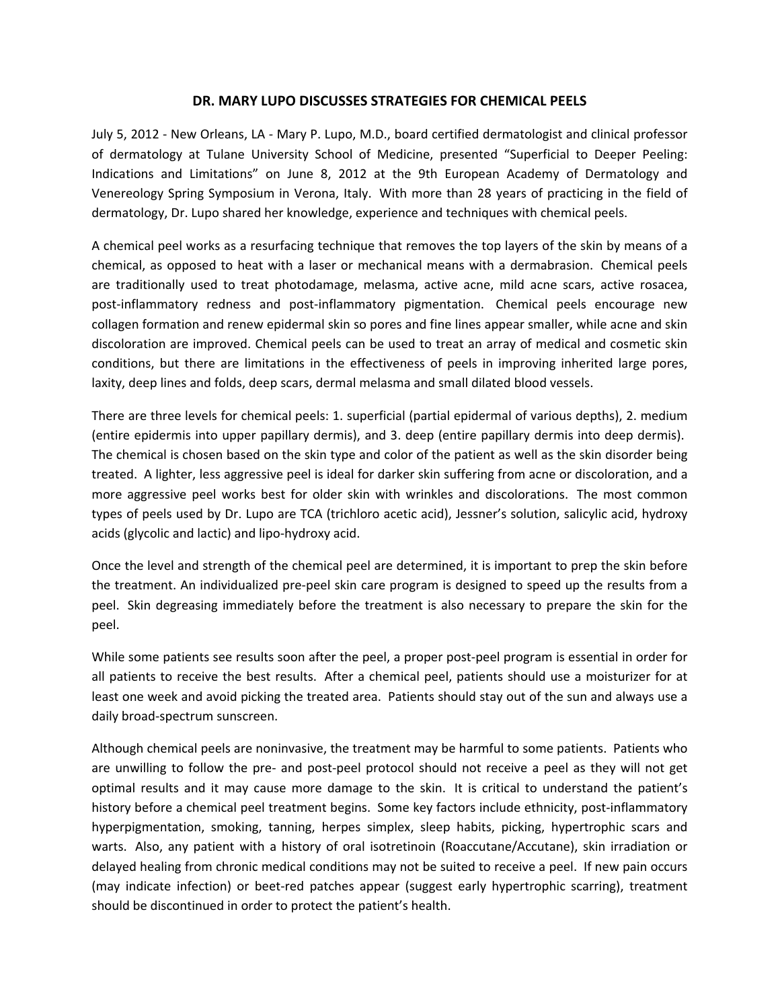## **DR. MARY LUPO DISCUSSES STRATEGIES FOR CHEMICAL PEELS**

July 5, 2012 ‐ New Orleans, LA ‐ Mary P. Lupo, M.D., board certified dermatologist and clinical professor of dermatology at Tulane University School of Medicine, presented "Superficial to Deeper Peeling: Indications and Limitations" on June 8, 2012 at the 9th European Academy of Dermatology and Venereology Spring Symposium in Verona, Italy. With more than 28 years of practicing in the field of dermatology, Dr. Lupo shared her knowledge, experience and techniques with chemical peels.

A chemical peel works as a resurfacing technique that removes the top layers of the skin by means of a chemical, as opposed to heat with a laser or mechanical means with a dermabrasion. Chemical peels are traditionally used to treat photodamage, melasma, active acne, mild acne scars, active rosacea, post-inflammatory redness and post-inflammatory pigmentation. Chemical peels encourage new collagen formation and renew epidermal skin so pores and fine lines appear smaller, while acne and skin discoloration are improved. Chemical peels can be used to treat an array of medical and cosmetic skin conditions, but there are limitations in the effectiveness of peels in improving inherited large pores, laxity, deep lines and folds, deep scars, dermal melasma and small dilated blood vessels.

There are three levels for chemical peels: 1. superficial (partial epidermal of various depths), 2. medium (entire epidermis into upper papillary dermis), and 3. deep (entire papillary dermis into deep dermis). The chemical is chosen based on the skin type and color of the patient as well as the skin disorder being treated. A lighter, less aggressive peel is ideal for darker skin suffering from acne or discoloration, and a more aggressive peel works best for older skin with wrinkles and discolorations. The most common types of peels used by Dr. Lupo are TCA (trichloro acetic acid), Jessner's solution, salicylic acid, hydroxy acids (glycolic and lactic) and lipo‐hydroxy acid.

Once the level and strength of the chemical peel are determined, it is important to prep the skin before the treatment. An individualized pre‐peel skin care program is designed to speed up the results from a peel. Skin degreasing immediately before the treatment is also necessary to prepare the skin for the peel.

While some patients see results soon after the peel, a proper post-peel program is essential in order for all patients to receive the best results. After a chemical peel, patients should use a moisturizer for at least one week and avoid picking the treated area. Patients should stay out of the sun and always use a daily broad‐spectrum sunscreen.

Although chemical peels are noninvasive, the treatment may be harmful to some patients. Patients who are unwilling to follow the pre- and post-peel protocol should not receive a peel as they will not get optimal results and it may cause more damage to the skin. It is critical to understand the patient's history before a chemical peel treatment begins. Some key factors include ethnicity, post-inflammatory hyperpigmentation, smoking, tanning, herpes simplex, sleep habits, picking, hypertrophic scars and warts. Also, any patient with a history of oral isotretinoin (Roaccutane/Accutane), skin irradiation or delayed healing from chronic medical conditions may not be suited to receive a peel. If new pain occurs (may indicate infection) or beet-red patches appear (suggest early hypertrophic scarring), treatment should be discontinued in order to protect the patient's health.